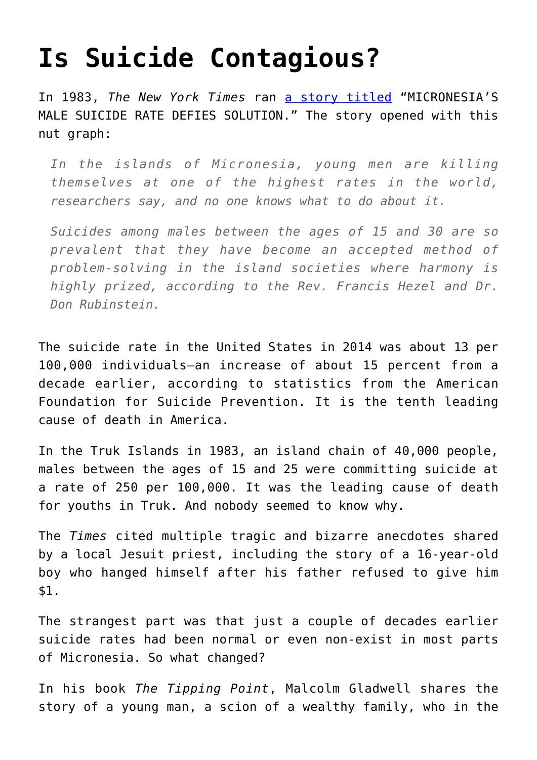## **[Is Suicide Contagious?](https://intellectualtakeout.org/2018/06/is-suicide-contagious/)**

In 1983, *The New York Times* ran [a story titled](http://www.nytimes.com/1983/03/06/us/micronesia-s-male-suicide-rate-defies-solution.html) "MICRONESIA'S MALE SUICIDE RATE DEFIES SOLUTION." The story opened with this nut graph:

*In the islands of Micronesia, young men are killing themselves at one of the highest rates in the world, researchers say, and no one knows what to do about it.*

*Suicides among males between the ages of 15 and 30 are so prevalent that they have become an accepted method of problem-solving in the island societies where harmony is highly prized, according to the Rev. Francis Hezel and Dr. Don Rubinstein.*

The suicide rate in the United States in 2014 was about 13 per 100,000 individuals—an increase of about 15 percent from a decade earlier, according to statistics from the American Foundation for Suicide Prevention. It is the tenth leading cause of death in America.

In the Truk Islands in 1983, an island chain of 40,000 people, males between the ages of 15 and 25 were committing suicide at a rate of 250 per 100,000. It was the leading cause of death for youths in Truk. And nobody seemed to know why.

The *Times* cited multiple tragic and bizarre anecdotes shared by a local Jesuit priest, including the story of a 16-year-old boy who hanged himself after his father refused to give him \$1.

The strangest part was that just a couple of decades earlier suicide rates had been normal or even non-exist in most parts of Micronesia. So what changed?

In his book *The Tipping Point*, Malcolm Gladwell shares the story of a young man, a scion of a wealthy family, who in the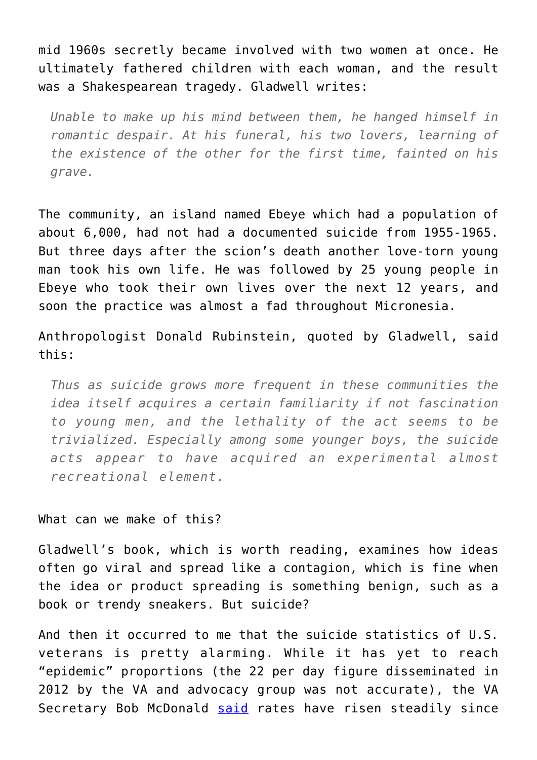mid 1960s secretly became involved with two women at once. He ultimately fathered children with each woman, and the result was a Shakespearean tragedy. Gladwell writes:

*Unable to make up his mind between them, he hanged himself in romantic despair. At his funeral, his two lovers, learning of the existence of the other for the first time, fainted on his grave.*

The community, an island named Ebeye which had a population of about 6,000, had not had a documented suicide from 1955-1965. But three days after the scion's death another love-torn young man took his own life. He was followed by 25 young people in Ebeye who took their own lives over the next 12 years, and soon the practice was almost a fad throughout Micronesia.

Anthropologist Donald Rubinstein, quoted by Gladwell, said this:

*Thus as suicide grows more frequent in these communities the idea itself acquires a certain familiarity if not fascination to young men, and the lethality of the act seems to be trivialized. Especially among some younger boys, the suicide acts appear to have acquired an experimental almost recreational element.* 

What can we make of this?

Gladwell's book, which is worth reading, examines how ideas often go viral and spread like a contagion, which is fine when the idea or product spreading is something benign, such as a book or trendy sneakers. But suicide?

And then it occurred to me that the suicide statistics of U.S. veterans is pretty alarming. While it has yet to reach "epidemic" proportions (the 22 per day figure disseminated in 2012 by the VA and advocacy group was not accurate), the VA Secretary Bob McDonald [said](http://www.militarytimes.com/story/veterans/2016/02/04/va-veterans-suicide-must-top-priority/79821504/) rates have risen steadily since